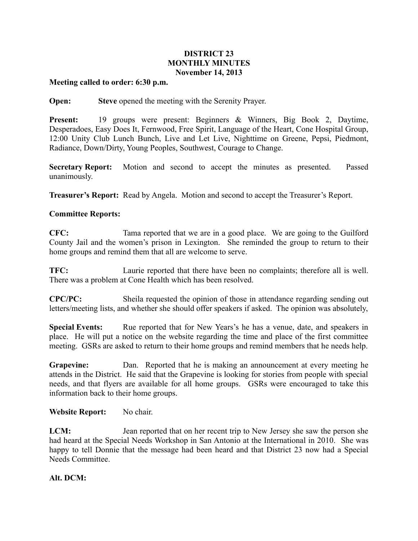# **DISTRICT 23 MONTHLY MINUTES November 14, 2013**

#### **Meeting called to order: 6:30 p.m.**

**Open: Steve** opened the meeting with the Serenity Prayer.

**Present:** 19 groups were present: Beginners & Winners, Big Book 2, Daytime, Desperadoes, Easy Does It, Fernwood, Free Spirit, Language of the Heart, Cone Hospital Group, 12:00 Unity Club Lunch Bunch, Live and Let Live, Nighttime on Greene, Pepsi, Piedmont, Radiance, Down/Dirty, Young Peoples, Southwest, Courage to Change.

**Secretary Report:** Motion and second to accept the minutes as presented. Passed unanimously.

**Treasurer's Report:** Read by Angela. Motion and second to accept the Treasurer's Report.

## **Committee Reports:**

**CFC:** Tama reported that we are in a good place. We are going to the Guilford County Jail and the women's prison in Lexington. She reminded the group to return to their home groups and remind them that all are welcome to serve.

**TFC:** Laurie reported that there have been no complaints; therefore all is well. There was a problem at Cone Health which has been resolved.

**CPC/PC:** Sheila requested the opinion of those in attendance regarding sending out letters/meeting lists, and whether she should offer speakers if asked. The opinion was absolutely,

**Special Events:** Rue reported that for New Years's he has a venue, date, and speakers in place. He will put a notice on the website regarding the time and place of the first committee meeting. GSRs are asked to return to their home groups and remind members that he needs help.

**Grapevine:** Dan. Reported that he is making an announcement at every meeting he attends in the District. He said that the Grapevine is looking for stories from people with special needs, and that flyers are available for all home groups. GSRs were encouraged to take this information back to their home groups.

### **Website Report:** No chair.

**LCM:** Jean reported that on her recent trip to New Jersey she saw the person she had heard at the Special Needs Workshop in San Antonio at the International in 2010. She was happy to tell Donnie that the message had been heard and that District 23 now had a Special Needs Committee.

### **Alt. DCM:**